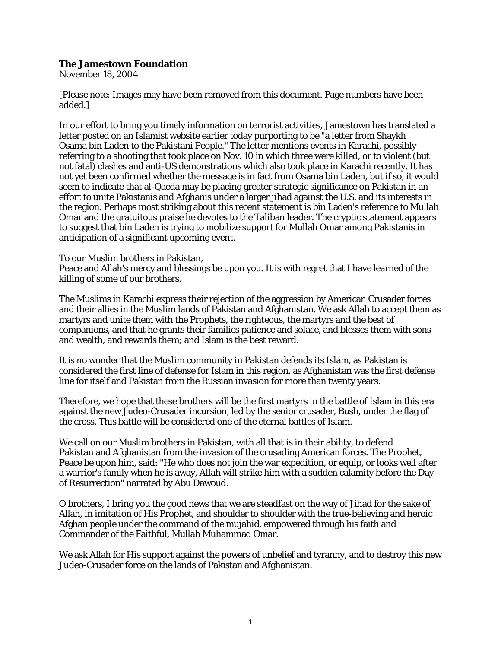## **The Jamestown Foundation**

November 18, 2004

[Please note: Images may have been removed from this document. Page numbers have been added.]

In our effort to bring you timely information on terrorist activities, Jamestown has translated a letter posted on an Islamist website earlier today purporting to be "a letter from Shaykh Osama bin Laden to the Pakistani People." The letter mentions events in Karachi, possibly referring to a shooting that took place on Nov. 10 in which three were killed, or to violent (but not fatal) clashes and anti-US demonstrations which also took place in Karachi recently. It has not yet been confirmed whether the message is in fact from Osama bin Laden, but if so, it would seem to indicate that al-Qaeda may be placing greater strategic significance on Pakistan in an effort to unite Pakistanis and Afghanis under a larger jihad against the U.S. and its interests in the region. Perhaps most striking about this recent statement is bin Laden's reference to Mullah Omar and the gratuitous praise he devotes to the Taliban leader. The cryptic statement appears to suggest that bin Laden is trying to mobilize support for Mullah Omar among Pakistanis in anticipation of a significant upcoming event.

To our Muslim brothers in Pakistan,

Peace and Allah's mercy and blessings be upon you. It is with regret that I have learned of the killing of some of our brothers.

The Muslims in Karachi express their rejection of the aggression by American Crusader forces and their allies in the Muslim lands of Pakistan and Afghanistan. We ask Allah to accept them as martyrs and unite them with the Prophets, the righteous, the martyrs and the best of companions, and that he grants their families patience and solace, and blesses them with sons and wealth, and rewards them; and Islam is the best reward.

It is no wonder that the Muslim community in Pakistan defends its Islam, as Pakistan is considered the first line of defense for Islam in this region, as Afghanistan was the first defense line for itself and Pakistan from the Russian invasion for more than twenty years.

Therefore, we hope that these brothers will be the first martyrs in the battle of Islam in this era against the new Judeo-Crusader incursion, led by the senior crusader, Bush, under the flag of the cross. This battle will be considered one of the eternal battles of Islam.

We call on our Muslim brothers in Pakistan, with all that is in their ability, to defend Pakistan and Afghanistan from the invasion of the crusading American forces. The Prophet, Peace be upon him, said: "He who does not join the war expedition, or equip, or looks well after a warrior's family when he is away, Allah will strike him with a sudden calamity before the Day of Resurrection" narrated by Abu Dawoud.

O brothers, I bring you the good news that we are steadfast on the way of Jihad for the sake of Allah, in imitation of His Prophet, and shoulder to shoulder with the true-believing and heroic Afghan people under the command of the mujahid, empowered through his faith and Commander of the Faithful, Mullah Muhammad Omar.

We ask Allah for His support against the powers of unbelief and tyranny, and to destroy this new Judeo-Crusader force on the lands of Pakistan and Afghanistan.